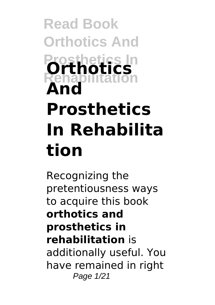# **Read Book Orthotics And Prosthetics In Rehabilitation Orthotics And Prosthetics In Rehabilita tion**

Recognizing the pretentiousness ways to acquire this book **orthotics and prosthetics in rehabilitation** is additionally useful. You have remained in right Page 1/21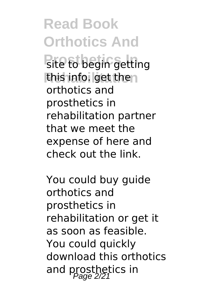**Read Book Orthotics And Pite to begin getting** this info. get then orthotics and prosthetics in rehabilitation partner that we meet the expense of here and check out the link.

You could buy guide orthotics and prosthetics in rehabilitation or get it as soon as feasible. You could quickly download this orthotics and prosthetics in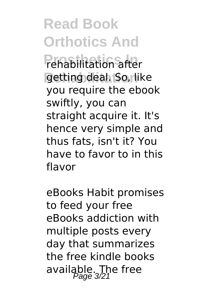**Read Book Orthotics And Prehabilitation after** getting deal. So, like you require the ebook swiftly, you can straight acquire it. It's hence very simple and thus fats, isn't it? You have to favor to in this flavor

eBooks Habit promises to feed your free eBooks addiction with multiple posts every day that summarizes the free kindle books available. The free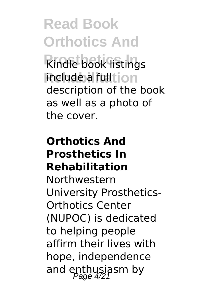**Read Book Orthotics And Kindle book listings include a full** tion description of the book as well as a photo of the cover.

#### **Orthotics And Prosthetics In Rehabilitation**

Northwestern University Prosthetics-Orthotics Center (NUPOC) is dedicated to helping people affirm their lives with hope, independence and enthusiasm by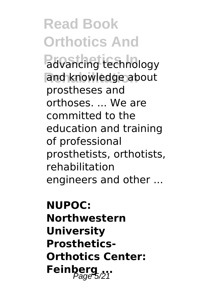**Read Book Orthotics And Padvancing technology** and knowledge about prostheses and orthoses. ... We are committed to the education and training of professional prosthetists, orthotists, rehabilitation engineers and other ...

**NUPOC: Northwestern University Prosthetics-Orthotics Center:** Feinberg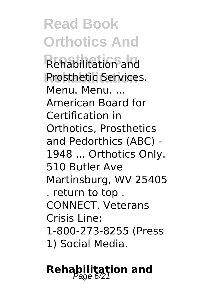**Read Book Orthotics And Prosthetics In** Rehabilitation and **Prosthetic Services.** Menu. Menu. ... American Board for Certification in Orthotics, Prosthetics and Pedorthics (ABC) - 1948 ... Orthotics Only. 510 Butler Ave Martinsburg, WV 25405 . return to top . CONNECT. Veterans Crisis Line: 1-800-273-8255 (Press 1) Social Media.

### **Rehabilitation and**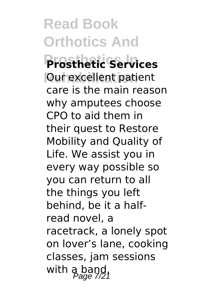**Read Book Orthotics And Prosthetics In Prosthetic Services Our excellent patient** care is the main reason why amputees choose CPO to aid them in their quest to Restore Mobility and Quality of Life. We assist you in every way possible so you can return to all the things you left behind, be it a halfread novel, a racetrack, a lonely spot on lover's lane, cooking classes, jam sessions with  $a_{20}$  band,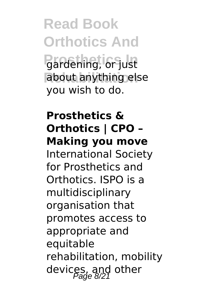**Read Book Orthotics And Prosthetics In** gardening, or just about anything else you wish to do.

**Prosthetics & Orthotics | CPO – Making you move** International Society for Prosthetics and Orthotics. ISPO is a multidisciplinary organisation that promotes access to appropriate and equitable rehabilitation, mobility devices, and other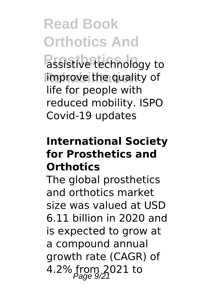# **Read Book Orthotics And**

**Passistive technology to** improve the quality of life for people with reduced mobility. ISPO Covid-19 updates

#### **International Society for Prosthetics and Orthotics**

The global prosthetics and orthotics market size was valued at USD 6.11 billion in 2020 and is expected to grow at a compound annual growth rate (CAGR) of 4.2% from 2021 to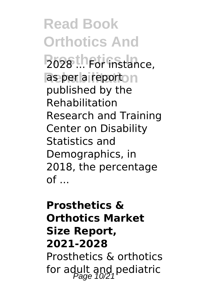**Read Book Orthotics And Po28** ... For instance, as per a reporton published by the Rehabilitation Research and Training Center on Disability Statistics and Demographics, in 2018, the percentage  $of$ ...

### **Prosthetics & Orthotics Market Size Report, 2021-2028** Prosthetics & orthotics for adult and pediatric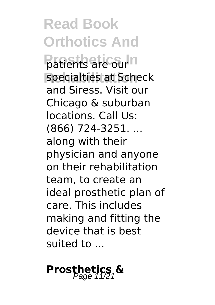**Read Book Orthotics And Patients are our**n specialties at Scheck and Siress. Visit our Chicago & suburban locations. Call Us: (866) 724-3251. ... along with their physician and anyone on their rehabilitation team, to create an ideal prosthetic plan of care. This includes making and fitting the device that is best suited to ...

## **Prosthetics &**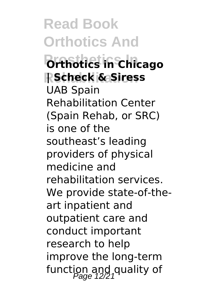**Read Book Orthotics And Prosthetics In Orthotics in Chicago Rehabilitation | Scheck & Siress** UAB Spain Rehabilitation Center (Spain Rehab, or SRC) is one of the southeast's leading providers of physical medicine and rehabilitation services. We provide state-of-theart inpatient and outpatient care and conduct important research to help improve the long-term function and quality of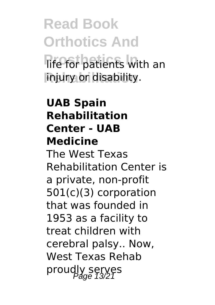**Read Book Orthotics And** *<u>Rife for patients</u>* with an **Rehabilitation** injury or disability.

**UAB Spain Rehabilitation Center - UAB Medicine** The West Texas Rehabilitation Center is a private, non-profit 501(c)(3) corporation that was founded in 1953 as a facility to treat children with cerebral palsy.. Now, West Texas Rehab proudly serves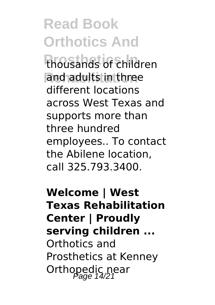**Read Book Orthotics And Prosthetics In** thousands of children and adults in three different locations across West Texas and supports more than three hundred employees.. To contact the Abilene location, call 325.793.3400.

**Welcome | West Texas Rehabilitation Center | Proudly serving children ...** Orthotics and Prosthetics at Kenney Orthopedic near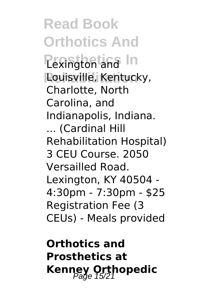**Read Book Orthotics And Pexington and In Rehabilitation** Louisville, Kentucky, Charlotte, North Carolina, and Indianapolis, Indiana. ... (Cardinal Hill Rehabilitation Hospital) 3 CEU Course. 2050 Versailled Road. Lexington, KY 40504 - 4:30pm - 7:30pm - \$25 Registration Fee (3 CEUs) - Meals provided

**Orthotics and Prosthetics at Kenney Orthopedic**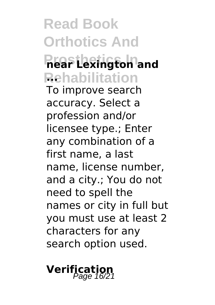### **Read Book Orthotics And Prosthetics In near Lexington and Rehabilitation ...** To improve search accuracy. Select a profession and/or licensee type.; Enter any combination of a first name, a last name, license number, and a city.; You do not need to spell the names or city in full but you must use at least 2 characters for any search option used.

### **Verification** Page 16/21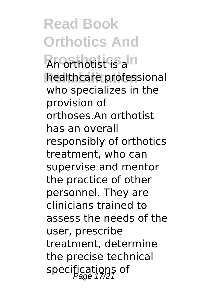**Read Book Orthotics And Prosthetics In** An orthotist is a healthcare professional who specializes in the provision of orthoses.An orthotist has an overall responsibly of orthotics treatment, who can supervise and mentor the practice of other personnel. They are clinicians trained to assess the needs of the user, prescribe treatment, determine the precise technical specifications of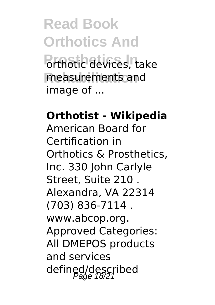**Read Book Orthotics And Prthotic devices, take** measurements and image of ...

**Orthotist - Wikipedia** American Board for Certification in Orthotics & Prosthetics, Inc. 330 John Carlyle Street, Suite 210 . Alexandra, VA 22314 (703) 836-7114 . www.abcop.org. Approved Categories: All DMEPOS products and services defined/described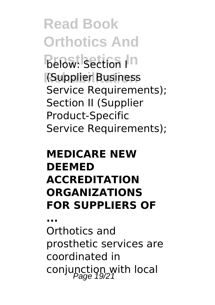**Read Book Orthotics And Below:** Section In **Rehabilitation** (Supplier Business Service Requirements); Section II (Supplier Product-Specific Service Requirements);

#### **MEDICARE NEW DEEMED ACCREDITATION ORGANIZATIONS FOR SUPPLIERS OF**

**...**

Orthotics and prosthetic services are coordinated in conjunction with local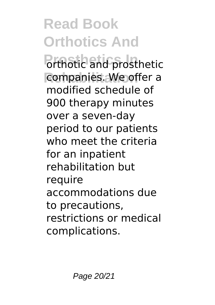**Read Book Orthotics And Porthotic and prosthetic** companies. We offer a modified schedule of 900 therapy minutes over a seven-day period to our patients who meet the criteria for an inpatient rehabilitation but require accommodations due to precautions, restrictions or medical complications.